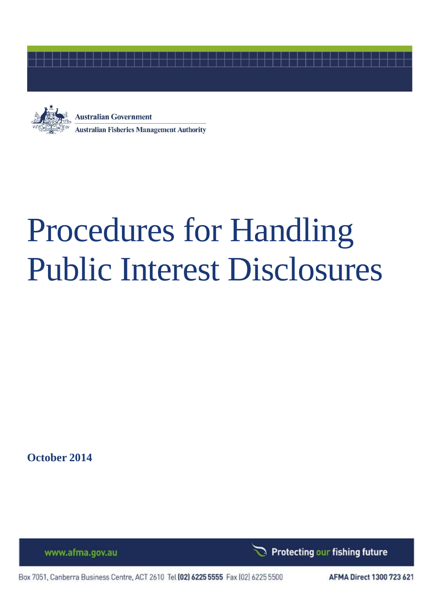



# Procedures for Handling Public Interest Disclosures

**October 2014**

www.afma.gov.au

Protecting our fishing future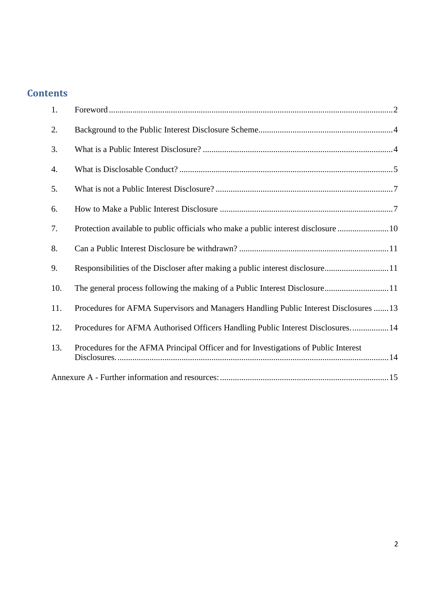## **Contents**

<span id="page-1-0"></span>

| 1.  |                                                                                       |  |
|-----|---------------------------------------------------------------------------------------|--|
| 2.  |                                                                                       |  |
| 3.  |                                                                                       |  |
| 4.  |                                                                                       |  |
| 5.  |                                                                                       |  |
| 6.  |                                                                                       |  |
| 7.  | Protection available to public officials who make a public interest disclosure  10    |  |
| 8.  |                                                                                       |  |
| 9.  | Responsibilities of the Discloser after making a public interest disclosure11         |  |
| 10. | The general process following the making of a Public Interest Disclosure11            |  |
| 11. | Procedures for AFMA Supervisors and Managers Handling Public Interest Disclosures  13 |  |
| 12. | Procedures for AFMA Authorised Officers Handling Public Interest Disclosures 14       |  |
| 13. | Procedures for the AFMA Principal Officer and for Investigations of Public Interest   |  |
|     |                                                                                       |  |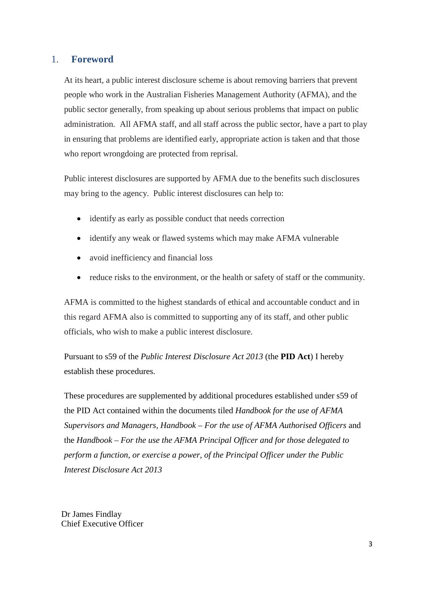#### 1. **Foreword**

At its heart, a public interest disclosure scheme is about removing barriers that prevent people who work in the Australian Fisheries Management Authority (AFMA), and the public sector generally, from speaking up about serious problems that impact on public administration. All AFMA staff, and all staff across the public sector, have a part to play in ensuring that problems are identified early, appropriate action is taken and that those who report wrongdoing are protected from reprisal.

Public interest disclosures are supported by AFMA due to the benefits such disclosures may bring to the agency. Public interest disclosures can help to:

- identify as early as possible conduct that needs correction
- identify any weak or flawed systems which may make AFMA vulnerable
- avoid inefficiency and financial loss
- reduce risks to the environment, or the health or safety of staff or the community.

AFMA is committed to the highest standards of ethical and accountable conduct and in this regard AFMA also is committed to supporting any of its staff, and other public officials, who wish to make a public interest disclosure.

Pursuant to s59 of the *Public Interest Disclosure Act 2013* (the **PID Act**) I hereby establish these procedures.

These procedures are supplemented by additional procedures established under s59 of the PID Act contained within the documents tiled *Handbook for the use of AFMA Supervisors and Managers, Handbook – For the use of AFMA Authorised Officers* and the *Handbook – For the use the AFMA Principal Officer and for those delegated to perform a function, or exercise a power, of the Principal Officer under the Public Interest Disclosure Act 2013*

Dr James Findlay Chief Executive Officer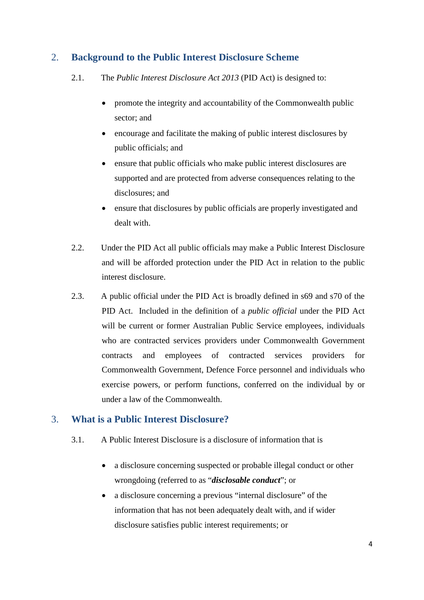## <span id="page-3-0"></span>2. **Background to the Public Interest Disclosure Scheme**

- 2.1. The *Public Interest Disclosure Act 2013* (PID Act) is designed to:
	- promote the integrity and accountability of the Commonwealth public sector; and
	- encourage and facilitate the making of public interest disclosures by public officials; and
	- ensure that public officials who make public interest disclosures are supported and are protected from adverse consequences relating to the disclosures; and
	- ensure that disclosures by public officials are properly investigated and dealt with.
- 2.2. Under the PID Act all public officials may make a Public Interest Disclosure and will be afforded protection under the PID Act in relation to the public interest disclosure.
- 2.3. A public official under the PID Act is broadly defined in s69 and s70 of the PID Act. Included in the definition of a *public official* under the PID Act will be current or former Australian Public Service employees, individuals who are contracted services providers under Commonwealth Government contracts and employees of contracted services providers for Commonwealth Government, Defence Force personnel and individuals who exercise powers, or perform functions, conferred on the individual by or under a law of the Commonwealth.

## <span id="page-3-1"></span>3. **What is a Public Interest Disclosure?**

- 3.1. A Public Interest Disclosure is a disclosure of information that is
	- a disclosure concerning suspected or probable illegal conduct or other wrongdoing (referred to as "*disclosable conduct*"; or
	- a disclosure concerning a previous "internal disclosure" of the information that has not been adequately dealt with, and if wider disclosure satisfies public interest requirements; or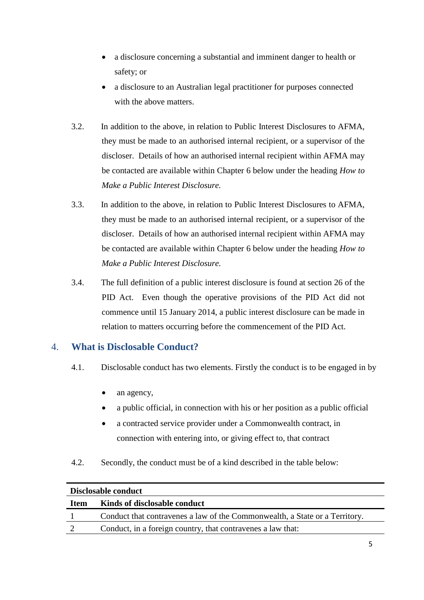- a disclosure concerning a substantial and imminent danger to health or safety; or
- a disclosure to an Australian legal practitioner for purposes connected with the above matters.
- 3.2. In addition to the above, in relation to Public Interest Disclosures to AFMA, they must be made to an authorised internal recipient, or a supervisor of the discloser. Details of how an authorised internal recipient within AFMA may be contacted are available within Chapter 6 below under the heading *How to Make a Public Interest Disclosure.*
- 3.3. In addition to the above, in relation to Public Interest Disclosures to AFMA, they must be made to an authorised internal recipient, or a supervisor of the discloser. Details of how an authorised internal recipient within AFMA may be contacted are available within Chapter 6 below under the heading *How to Make a Public Interest Disclosure.*
- 3.4. The full definition of a public interest disclosure is found at section 26 of the PID Act. Even though the operative provisions of the PID Act did not commence until 15 January 2014, a public interest disclosure can be made in relation to matters occurring before the commencement of the PID Act.

## <span id="page-4-0"></span>4. **What is Disclosable Conduct?**

- 4.1. Disclosable conduct has two elements. Firstly the conduct is to be engaged in by
	- an agency,
	- a public official, in connection with his or her position as a public official
	- a contracted service provider under a Commonwealth contract, in connection with entering into, or giving effect to, that contract
- 4.2. Secondly, the conduct must be of a kind described in the table below:

| Disclosable conduct |                                                                             |  |
|---------------------|-----------------------------------------------------------------------------|--|
| <b>Item</b>         | Kinds of disclosable conduct                                                |  |
|                     | Conduct that contravenes a law of the Commonwealth, a State or a Territory. |  |
|                     | Conduct, in a foreign country, that contravenes a law that:                 |  |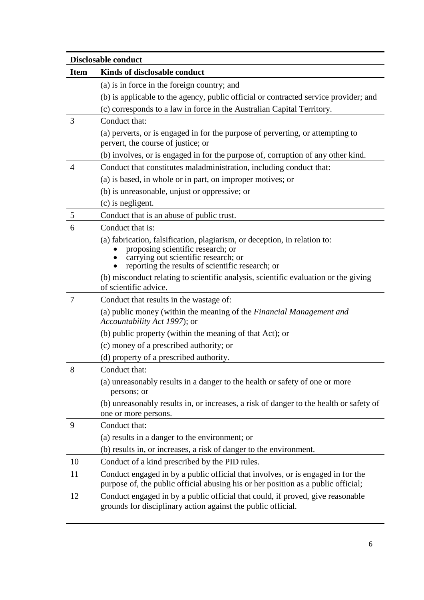| <b>Disclosable conduct</b> |                                                                                                                                                                                                            |  |
|----------------------------|------------------------------------------------------------------------------------------------------------------------------------------------------------------------------------------------------------|--|
| <b>Item</b>                | Kinds of disclosable conduct                                                                                                                                                                               |  |
|                            | (a) is in force in the foreign country; and                                                                                                                                                                |  |
|                            | (b) is applicable to the agency, public official or contracted service provider; and                                                                                                                       |  |
|                            | (c) corresponds to a law in force in the Australian Capital Territory.                                                                                                                                     |  |
| 3                          | Conduct that:                                                                                                                                                                                              |  |
|                            | (a) perverts, or is engaged in for the purpose of perverting, or attempting to<br>pervert, the course of justice; or                                                                                       |  |
|                            | (b) involves, or is engaged in for the purpose of, corruption of any other kind.                                                                                                                           |  |
| $\overline{4}$             | Conduct that constitutes maladministration, including conduct that:                                                                                                                                        |  |
|                            | (a) is based, in whole or in part, on improper motives; or                                                                                                                                                 |  |
|                            | (b) is unreasonable, unjust or oppressive; or                                                                                                                                                              |  |
|                            | (c) is negligent.                                                                                                                                                                                          |  |
| 5                          | Conduct that is an abuse of public trust.                                                                                                                                                                  |  |
| 6                          | Conduct that is:                                                                                                                                                                                           |  |
|                            | (a) fabrication, falsification, plagiarism, or deception, in relation to:<br>proposing scientific research; or<br>carrying out scientific research; or<br>reporting the results of scientific research; or |  |
|                            | (b) misconduct relating to scientific analysis, scientific evaluation or the giving<br>of scientific advice.                                                                                               |  |
| 7                          | Conduct that results in the wastage of:                                                                                                                                                                    |  |
|                            | (a) public money (within the meaning of the <i>Financial Management and</i><br>Accountability Act 1997); or                                                                                                |  |
|                            | (b) public property (within the meaning of that Act); or                                                                                                                                                   |  |
|                            | (c) money of a prescribed authority; or                                                                                                                                                                    |  |
|                            | (d) property of a prescribed authority.                                                                                                                                                                    |  |
| 8                          | Conduct that:                                                                                                                                                                                              |  |
|                            | (a) unreasonably results in a danger to the health or safety of one or more<br>persons; or                                                                                                                 |  |
|                            | (b) unreasonably results in, or increases, a risk of danger to the health or safety of<br>one or more persons.                                                                                             |  |
| 9                          | Conduct that:                                                                                                                                                                                              |  |
|                            | (a) results in a danger to the environment; or                                                                                                                                                             |  |
|                            | (b) results in, or increases, a risk of danger to the environment.                                                                                                                                         |  |
| 10                         | Conduct of a kind prescribed by the PID rules.                                                                                                                                                             |  |
| 11                         | Conduct engaged in by a public official that involves, or is engaged in for the<br>purpose of, the public official abusing his or her position as a public official;                                       |  |
| 12                         | Conduct engaged in by a public official that could, if proved, give reasonable<br>grounds for disciplinary action against the public official.                                                             |  |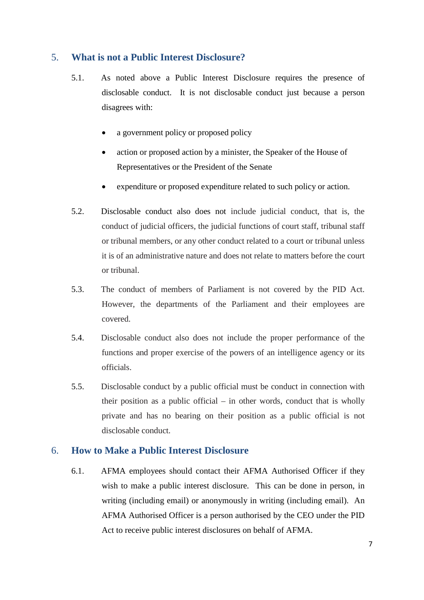### <span id="page-6-0"></span>5. **What is not a Public Interest Disclosure?**

- 5.1. As noted above a Public Interest Disclosure requires the presence of disclosable conduct. It is not disclosable conduct just because a person disagrees with:
	- a government policy or proposed policy
	- action or proposed action by a minister, the Speaker of the House of Representatives or the President of the Senate
	- expenditure or proposed expenditure related to such policy or action.
- 5.2. Disclosable conduct also does not include judicial conduct, that is, the conduct of judicial officers, the judicial functions of court staff, tribunal staff or tribunal members, or any other conduct related to a court or tribunal unless it is of an administrative nature and does not relate to matters before the court or tribunal.
- 5.3. The conduct of members of Parliament is not covered by the PID Act. However, the departments of the Parliament and their employees are covered.
- 5.4. Disclosable conduct also does not include the proper performance of the functions and proper exercise of the powers of an intelligence agency or its officials.
- 5.5. Disclosable conduct by a public official must be conduct in connection with their position as a public official – in other words, conduct that is wholly private and has no bearing on their position as a public official is not disclosable conduct.

#### <span id="page-6-1"></span>6. **How to Make a Public Interest Disclosure**

6.1. AFMA employees should contact their AFMA Authorised Officer if they wish to make a public interest disclosure. This can be done in person, in writing (including email) or anonymously in writing (including email). An AFMA Authorised Officer is a person authorised by the CEO under the PID Act to receive public interest disclosures on behalf of AFMA.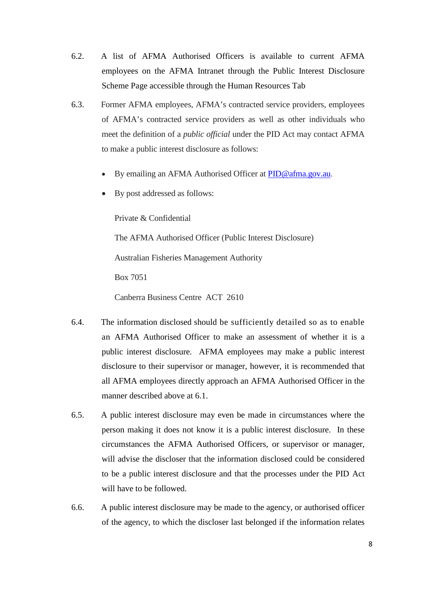- 6.2. A list of AFMA Authorised Officers is available to current AFMA employees on the AFMA Intranet through the Public Interest Disclosure Scheme Page accessible through the Human Resources Tab
- 6.3. Former AFMA employees, AFMA's contracted service providers, employees of AFMA's contracted service providers as well as other individuals who meet the definition of a *public official* under the PID Act may contact AFMA to make a public interest disclosure as follows:
	- By emailing an AFMA Authorised Officer at [PID@afma.gov.au.](mailto:PID@afma.gov.au)
	- By post addressed as follows:

Private & Confidential

The AFMA Authorised Officer (Public Interest Disclosure)

Australian Fisheries Management Authority

Box 7051

Canberra Business Centre ACT 2610

- 6.4. The information disclosed should be sufficiently detailed so as to enable an AFMA Authorised Officer to make an assessment of whether it is a public interest disclosure. AFMA employees may make a public interest disclosure to their supervisor or manager, however, it is recommended that all AFMA employees directly approach an AFMA Authorised Officer in the manner described above at 6.1.
- 6.5. A public interest disclosure may even be made in circumstances where the person making it does not know it is a public interest disclosure. In these circumstances the AFMA Authorised Officers, or supervisor or manager, will advise the discloser that the information disclosed could be considered to be a public interest disclosure and that the processes under the PID Act will have to be followed.
- 6.6. A public interest disclosure may be made to the agency, or authorised officer of the agency, to which the discloser last belonged if the information relates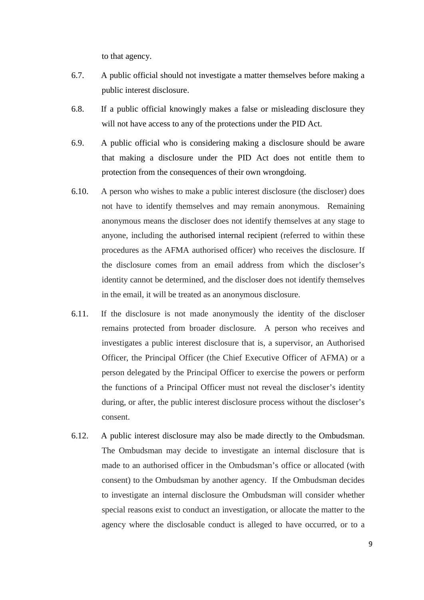to that agency.

- 6.7. A public official should not investigate a matter themselves before making a public interest disclosure.
- 6.8. If a public official knowingly makes a false or misleading disclosure they will not have access to any of the protections under the PID Act.
- 6.9. A public official who is considering making a disclosure should be aware that making a disclosure under the PID Act does not entitle them to protection from the consequences of their own wrongdoing.
- 6.10. A person who wishes to make a public interest disclosure (the discloser) does not have to identify themselves and may remain anonymous. Remaining anonymous means the discloser does not identify themselves at any stage to anyone, including the authorised internal recipient (referred to within these procedures as the AFMA authorised officer) who receives the disclosure. If the disclosure comes from an email address from which the discloser's identity cannot be determined, and the discloser does not identify themselves in the email, it will be treated as an anonymous disclosure.
- 6.11. If the disclosure is not made anonymously the identity of the discloser remains protected from broader disclosure. A person who receives and investigates a public interest disclosure that is, a supervisor, an Authorised Officer, the Principal Officer (the Chief Executive Officer of AFMA) or a person delegated by the Principal Officer to exercise the powers or perform the functions of a Principal Officer must not reveal the discloser's identity during, or after, the public interest disclosure process without the discloser's consent.
- 6.12. A public interest disclosure may also be made directly to the Ombudsman. The Ombudsman may decide to investigate an internal disclosure that is made to an authorised officer in the Ombudsman's office or allocated (with consent) to the Ombudsman by another agency. If the Ombudsman decides to investigate an internal disclosure the Ombudsman will consider whether special reasons exist to conduct an investigation, or allocate the matter to the agency where the disclosable conduct is alleged to have occurred, or to a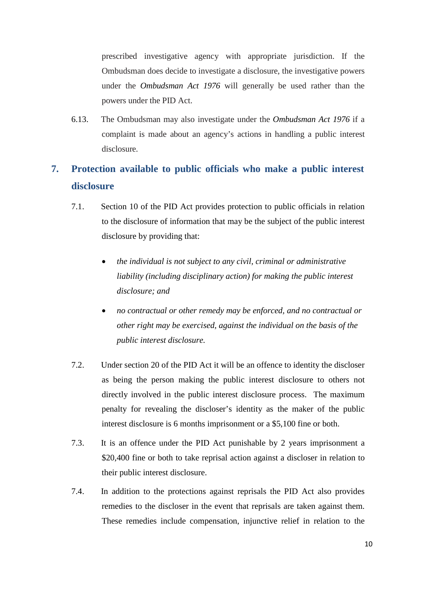prescribed investigative agency with appropriate jurisdiction. If the Ombudsman does decide to investigate a disclosure, the investigative powers under the *Ombudsman Act 1976* will generally be used rather than the powers under the PID Act.

6.13. The Ombudsman may also investigate under the *Ombudsman Act 1976* if a complaint is made about an agency's actions in handling a public interest disclosure.

# <span id="page-9-0"></span>**7. Protection available to public officials who make a public interest disclosure**

- 7.1. Section 10 of the PID Act provides protection to public officials in relation to the disclosure of information that may be the subject of the public interest disclosure by providing that:
	- *the individual is not subject to any civil, criminal or administrative liability (including disciplinary action) for making the public interest disclosure; and*
	- *no contractual or other remedy may be enforced, and no contractual or other right may be exercised, against the individual on the basis of the public interest disclosure.*
- 7.2. Under section 20 of the PID Act it will be an offence to identity the discloser as being the person making the public interest disclosure to others not directly involved in the public interest disclosure process. The maximum penalty for revealing the discloser's identity as the maker of the public interest disclosure is 6 months imprisonment or a \$5,100 fine or both.
- 7.3. It is an offence under the PID Act punishable by 2 years imprisonment a \$20,400 fine or both to take reprisal action against a discloser in relation to their public interest disclosure.
- 7.4. In addition to the protections against reprisals the PID Act also provides remedies to the discloser in the event that reprisals are taken against them. These remedies include compensation, injunctive relief in relation to the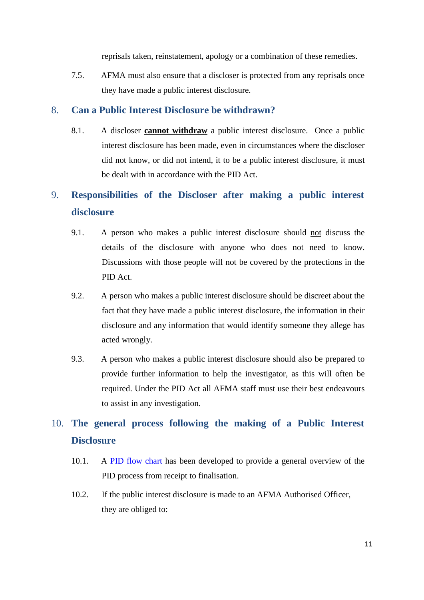reprisals taken, reinstatement, apology or a combination of these remedies.

7.5. AFMA must also ensure that a discloser is protected from any reprisals once they have made a public interest disclosure.

#### <span id="page-10-0"></span>8. **Can a Public Interest Disclosure be withdrawn?**

8.1. A discloser **cannot withdraw** a public interest disclosure. Once a public interest disclosure has been made, even in circumstances where the discloser did not know, or did not intend, it to be a public interest disclosure, it must be dealt with in accordance with the PID Act.

## <span id="page-10-1"></span>9. **Responsibilities of the Discloser after making a public interest disclosure**

- 9.1. A person who makes a public interest disclosure should not discuss the details of the disclosure with anyone who does not need to know. Discussions with those people will not be covered by the protections in the PID Act.
- 9.2. A person who makes a public interest disclosure should be discreet about the fact that they have made a public interest disclosure, the information in their disclosure and any information that would identify someone they allege has acted wrongly.
- 9.3. A person who makes a public interest disclosure should also be prepared to provide further information to help the investigator, as this will often be required. Under the PID Act all AFMA staff must use their best endeavours to assist in any investigation.

# <span id="page-10-2"></span>10. **The general process following the making of a Public Interest Disclosure**

- 10.1. A PID flow chart has been developed to provide a general overview of the PID process from receipt to finalisation.
- 10.2. If the public interest disclosure is made to an AFMA Authorised Officer, they are obliged to: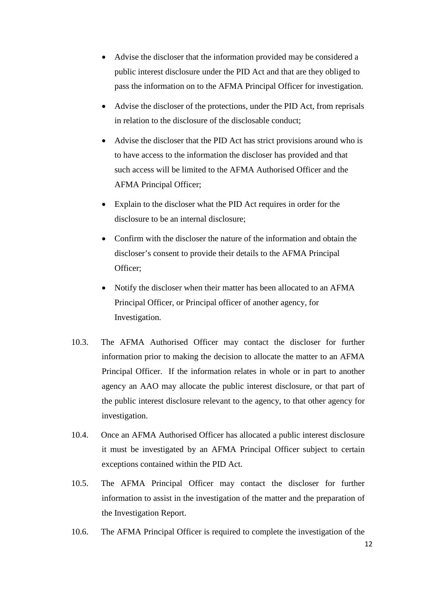- Advise the discloser that the information provided may be considered a public interest disclosure under the PID Act and that are they obliged to pass the information on to the AFMA Principal Officer for investigation.
- Advise the discloser of the protections, under the PID Act, from reprisals in relation to the disclosure of the disclosable conduct;
- Advise the discloser that the PID Act has strict provisions around who is to have access to the information the discloser has provided and that such access will be limited to the AFMA Authorised Officer and the AFMA Principal Officer;
- Explain to the discloser what the PID Act requires in order for the disclosure to be an internal disclosure;
- Confirm with the discloser the nature of the information and obtain the discloser's consent to provide their details to the AFMA Principal Officer;
- Notify the discloser when their matter has been allocated to an AFMA Principal Officer, or Principal officer of another agency, for Investigation.
- 10.3. The AFMA Authorised Officer may contact the discloser for further information prior to making the decision to allocate the matter to an AFMA Principal Officer. If the information relates in whole or in part to another agency an AAO may allocate the public interest disclosure, or that part of the public interest disclosure relevant to the agency, to that other agency for investigation.
- 10.4. Once an AFMA Authorised Officer has allocated a public interest disclosure it must be investigated by an AFMA Principal Officer subject to certain exceptions contained within the PID Act.
- 10.5. The AFMA Principal Officer may contact the discloser for further information to assist in the investigation of the matter and the preparation of the Investigation Report.
- 10.6. The AFMA Principal Officer is required to complete the investigation of the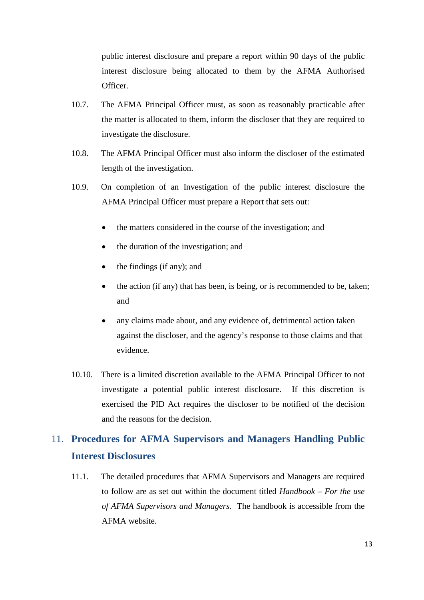public interest disclosure and prepare a report within 90 days of the public interest disclosure being allocated to them by the AFMA Authorised Officer.

- 10.7. The AFMA Principal Officer must, as soon as reasonably practicable after the matter is allocated to them, inform the discloser that they are required to investigate the disclosure.
- 10.8. The AFMA Principal Officer must also inform the discloser of the estimated length of the investigation.
- 10.9. On completion of an Investigation of the public interest disclosure the AFMA Principal Officer must prepare a Report that sets out:
	- the matters considered in the course of the investigation; and
	- the duration of the investigation; and
	- the findings (if any); and
	- the action (if any) that has been, is being, or is recommended to be, taken; and
	- any claims made about, and any evidence of, detrimental action taken against the discloser, and the agency's response to those claims and that evidence.
- 10.10. There is a limited discretion available to the AFMA Principal Officer to not investigate a potential public interest disclosure. If this discretion is exercised the PID Act requires the discloser to be notified of the decision and the reasons for the decision.

## <span id="page-12-0"></span>11. **Procedures for AFMA Supervisors and Managers Handling Public Interest Disclosures**

11.1. The detailed procedures that AFMA Supervisors and Managers are required to follow are as set out within the document titled *Handbook – For the use of AFMA Supervisors and Managers.* The handbook is accessible from the AFMA website.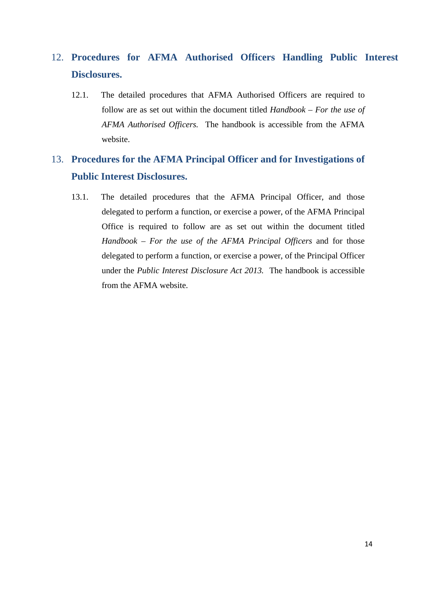# <span id="page-13-0"></span>12. **Procedures for AFMA Authorised Officers Handling Public Interest Disclosures.**

12.1. The detailed procedures that AFMA Authorised Officers are required to follow are as set out within the document titled *Handbook – For the use of AFMA Authorised Officers.* The handbook is accessible from the AFMA website.

# <span id="page-13-1"></span>13. **Procedures for the AFMA Principal Officer and for Investigations of Public Interest Disclosures.**

13.1. The detailed procedures that the AFMA Principal Officer, and those delegated to perform a function, or exercise a power, of the AFMA Principal Office is required to follow are as set out within the document titled *Handbook – For the use of the AFMA Principal Officers* and for those delegated to perform a function, or exercise a power, of the Principal Officer under the *Public Interest Disclosure Act 2013.* The handbook is accessible from the AFMA website.